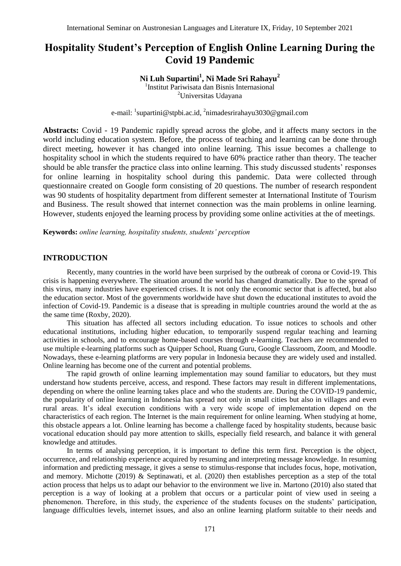# **Hospitality Student's Perception of English Online Learning During the Covid 19 Pandemic**

## **Ni Luh Supartini<sup>1</sup> , Ni Made Sri Rahayu<sup>2</sup>**

1 Institut Pariwisata dan Bisnis Internasional <sup>2</sup>Universitas Udayana

e-mail: <sup>1</sup>[supartini@stpbi.ac.id,](mailto:supartini@stpbi.ac.id) <sup>2</sup>[nimadesrirahayu3030@gmail.com](mailto:nimadesrirahayu3030@gmail.com)

**Abstracts:** Covid - 19 Pandemic rapidly spread across the globe, and it affects many sectors in the world including education system. Before, the process of teaching and learning can be done through direct meeting, however it has changed into online learning. This issue becomes a challenge to hospitality school in which the students required to have 60% practice rather than theory. The teacher should be able transfer the practice class into online learning. This study discussed students' responses for online learning in hospitality school during this pandemic. Data were collected through questionnaire created on Google form consisting of 20 questions. The number of research respondent was 90 students of hospitality department from different semester at International Institute of Tourism and Business. The result showed that internet connection was the main problems in online learning. However, students enjoyed the learning process by providing some online activities at the of meetings.

**Keywords:** *online learning, hospitality students, students' perception* 

## **INTRODUCTION**

Recently, many countries in the world have been surprised by the outbreak of corona or Covid-19. This crisis is happening everywhere. The situation around the world has changed dramatically. Due to the spread of this virus, many industries have experienced crises. It is not only the economic sector that is affected, but also the education sector. Most of the governments worldwide have shut down the educational institutes to avoid the infection of Covid-19. Pandemic is a disease that is spreading in multiple countries around the world at the as the same time (Roxby, 2020).

This situation has affected all sectors including education. To issue notices to schools and other educational institutions, including higher education, to temporarily suspend regular teaching and learning activities in schools, and to encourage home-based courses through e-learning. Teachers are recommended to use multiple e-learning platforms such as Quipper School, Ruang Guru, Google Classroom, Zoom, and Moodle. Nowadays, these e-learning platforms are very popular in Indonesia because they are widely used and installed. Online learning has become one of the current and potential problems.

The rapid growth of online learning implementation may sound familiar to educators, but they must understand how students perceive, access, and respond. These factors may result in different implementations, depending on where the online learning takes place and who the students are. During the COVID-19 pandemic, the popularity of online learning in Indonesia has spread not only in small cities but also in villages and even rural areas. It's ideal execution conditions with a very wide scope of implementation depend on the characteristics of each region. The Internet is the main requirement for online learning. When studying at home, this obstacle appears a lot. Online learning has become a challenge faced by hospitality students, because basic vocational education should pay more attention to skills, especially field research, and balance it with general knowledge and attitudes.

In terms of analysing perception, it is important to define this term first. Perception is the object, occurrence, and relationship experience acquired by resuming and interpreting message knowledge. In resuming information and predicting message, it gives a sense to stimulus-response that includes focus, hope, motivation, and memory. Michotte (2019) & Septinawati, et al. (2020) then establishes perception as a step of the total action process that helps us to adapt our behavior to the environment we live in. Martono (2010) also stated that perception is a way of looking at a problem that occurs or a particular point of view used in seeing a phenomenon. Therefore, in this study, the experience of the students focuses on the students' participation, language difficulties levels, internet issues, and also an online learning platform suitable to their needs and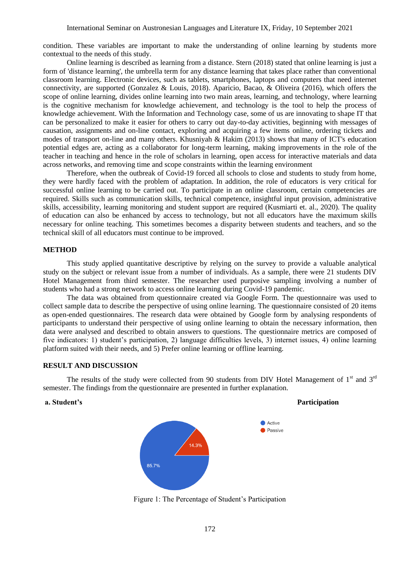condition. These variables are important to make the understanding of online learning by students more contextual to the needs of this study.

Online learning is described as learning from a distance. Stern (2018) stated that online learning is just a form of 'distance learning', the umbrella term for any distance learning that takes place rather than conventional classroom learning. Electronic devices, such as tablets, smartphones, laptops and computers that need internet connectivity, are supported (Gonzalez & Louis, 2018). Aparicio, Bacao, & Oliveira (2016), which offers the scope of online learning, divides online learning into two main areas, learning, and technology, where learning is the cognitive mechanism for knowledge achievement, and technology is the tool to help the process of knowledge achievement. With the Information and Technology case, some of us are innovating to shape IT that can be personalized to make it easier for others to carry out day-to-day activities, beginning with messages of causation, assignments and on-line contact, exploring and acquiring a few items online, ordering tickets and modes of transport on-line and many others. Khusniyah & Hakim (2013) shows that many of ICT's education potential edges are, acting as a collaborator for long-term learning, making improvements in the role of the teacher in teaching and hence in the role of scholars in learning, open access for interactive materials and data across networks, and removing time and scope constraints within the learning environment

Therefore, when the outbreak of Covid-19 forced all schools to close and students to study from home, they were hardly faced with the problem of adaptation. In addition, the role of educators is very critical for successful online learning to be carried out. To participate in an online classroom, certain competencies are required. Skills such as communication skills, technical competence, insightful input provision, administrative skills, accessibility, learning monitoring and student support are required (Kusmiarti et. al., 2020). The quality of education can also be enhanced by access to technology, but not all educators have the maximum skills necessary for online teaching. This sometimes becomes a disparity between students and teachers, and so the technical skill of all educators must continue to be improved.

#### **METHOD**

This study applied quantitative descriptive by relying on the survey to provide a valuable analytical study on the subject or relevant issue from a number of individuals. As a sample, there were 21 students DIV Hotel Management from third semester. The researcher used purposive sampling involving a number of students who had a strong network to access online learning during Covid-19 pandemic.

The data was obtained from questionnaire created via Google Form. The questionnaire was used to collect sample data to describe the perspective of using online learning. The questionnaire consisted of 20 items as open-ended questionnaires. The research data were obtained by Google form by analysing respondents of participants to understand their perspective of using online learning to obtain the necessary information, then data were analysed and described to obtain answers to questions. The questionnaire metrics are composed of five indicators: 1) student's participation, 2) language difficulties levels, 3) internet issues, 4) online learning platform suited with their needs, and 5) Prefer online learning or offline learning.

#### **RESULT AND DISCUSSION**

The results of the study were collected from 90 students from DIV Hotel Management of  $1<sup>st</sup>$  and  $3<sup>rd</sup>$ semester. The findings from the questionnaire are presented in further explanation.



#### **a. Student's Participation**

Figure 1: The Percentage of Student's Participation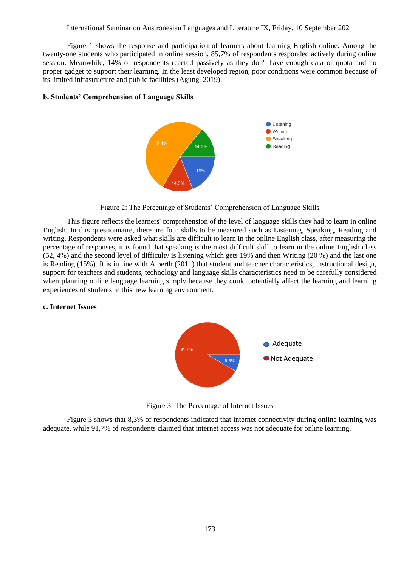Figure 1 shows the response and participation of learners about learning English online. Among the twenty-one students who participated in online session, 85,7% of respondents responded actively during online session. Meanwhile, 14% of respondents reacted passively as they don't have enough data or quota and no proper gadget to support their learning. In the least developed region, poor conditions were common because of its limited infrastructure and public facilities (Agung, 2019).

### **b. Students' Comprehension of Language Skills**



Figure 2: The Percentage of Students' Comprehension of Language Skills

This figure reflects the learners' comprehension of the level of language skills they had to learn in online English. In this questionnaire, there are four skills to be measured such as Listening, Speaking, Reading and writing. Respondents were asked what skills are difficult to learn in the online English class, after measuring the percentage of responses, it is found that speaking is the most difficult skill to learn in the online English class (52, 4%) and the second level of difficulty is listening which gets 19% and then Writing (20 %) and the last one is Reading (15%). It is in line with Alberth (2011) that student and teacher characteristics, instructional design, support for teachers and students, technology and language skills characteristics need to be carefully considered when planning online language learning simply because they could potentially affect the learning and learning experiences of students in this new learning environment.

### **c. Internet Issues**



Figure 3: The Percentage of Internet Issues

Figure 3 shows that 8,3% of respondents indicated that internet connectivity during online learning was adequate, while 91,7% of respondents claimed that internet access was not adequate for online learning.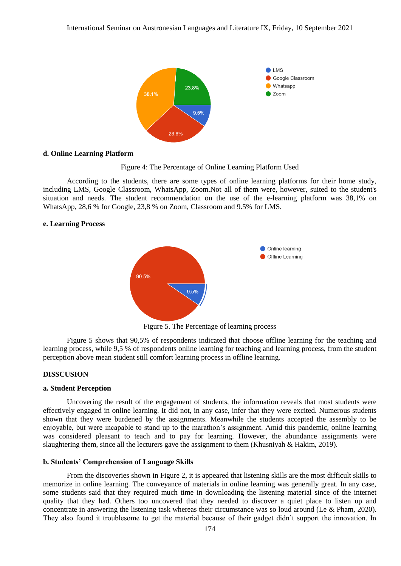

#### **d. Online Learning Platform**



According to the students, there are some types of online learning platforms for their home study, including LMS, Google Classroom, WhatsApp, Zoom.Not all of them were, however, suited to the student's situation and needs. The student recommendation on the use of the e-learning platform was 38,1% on WhatsApp, 28,6 % for Google, 23,8 % on Zoom, Classroom and 9.5% for LMS.

#### **e. Learning Process**



Figure 5. The Percentage of learning process

Figure 5 shows that 90,5% of respondents indicated that choose offline learning for the teaching and learning process, while 9,5 % of respondents online learning for teaching and learning process, from the student perception above mean student still comfort learning process in offline learning.

#### **DISSCUSION**

#### **a. Student Perception**

Uncovering the result of the engagement of students, the information reveals that most students were effectively engaged in online learning. It did not, in any case, infer that they were excited. Numerous students shown that they were burdened by the assignments. Meanwhile the students accepted the assembly to be enjoyable, but were incapable to stand up to the marathon's assignment. Amid this pandemic, online learning was considered pleasant to teach and to pay for learning. However, the abundance assignments were slaughtering them, since all the lecturers gave the assignment to them (Khusniyah & Hakim, 2019).

#### **b. Students' Comprehension of Language Skills**

From the discoveries shown in Figure 2, it is appeared that listening skills are the most difficult skills to memorize in online learning. The conveyance of materials in online learning was generally great. In any case, some students said that they required much time in downloading the listening material since of the internet quality that they had. Others too uncovered that they needed to discover a quiet place to listen up and concentrate in answering the listening task whereas their circumstance was so loud around (Le & Pham, 2020). They also found it troublesome to get the material because of their gadget didn't support the innovation. In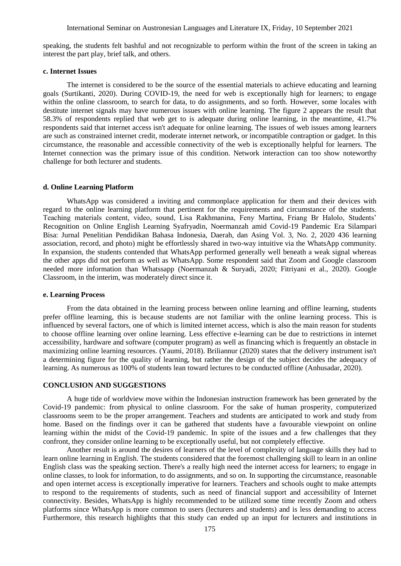speaking, the students felt bashful and not recognizable to perform within the front of the screen in taking an interest the part play, brief talk, and others.

#### **c. Internet Issues**

The internet is considered to be the source of the essential materials to achieve educating and learning goals (Surtikanti, 2020). During COVID-19, the need for web is exceptionally high for learners; to engage within the online classroom, to search for data, to do assignments, and so forth. However, some locales with destitute internet signals may have numerous issues with online learning. The figure 2 appears the result that 58.3% of respondents replied that web get to is adequate during online learning, in the meantime, 41.7% respondents said that internet access isn't adequate for online learning. The issues of web issues among learners are such as constrained internet credit, moderate internet network, or incompatible contraption or gadget. In this circumstance, the reasonable and accessible connectivity of the web is exceptionally helpful for learners. The Internet connection was the primary issue of this condition. Network interaction can too show noteworthy challenge for both lecturer and students.

#### **d. Online Learning Platform**

WhatsApp was considered a inviting and commonplace application for them and their devices with regard to the online learning platform that pertinent for the requirements and circumstance of the students. Teaching materials content, video, sound, Lisa Rakhmanina, Feny Martina, Friang Br Halolo, Students' Recognition on Online English Learning Syafryadin, Noermanzah amid Covid-19 Pandemic Era Silampari Bisa: Jurnal Penelitian Pendidikan Bahasa Indonesia, Daerah, dan Asing Vol. 3, No. 2, 2020 436 learning association, record, and photo) might be effortlessly shared in two-way intuitive via the WhatsApp community. In expansion, the students contended that WhatsApp performed generally well beneath a weak signal whereas the other apps did not perform as well as WhatsApp. Some respondent said that Zoom and Google classroom needed more information than Whatssapp (Noermanzah & Suryadi, 2020; Fitriyani et al., 2020). Google Classroom, in the interim, was moderately direct since it.

#### **e. Learning Process**

From the data obtained in the learning process between online learning and offline learning, students prefer offline learning, this is because students are not familiar with the online learning process. This is influenced by several factors, one of which is limited internet access, which is also the main reason for students to choose offline learning over online learning. Less effective e-learning can be due to restrictions in internet accessibility, hardware and software (computer program) as well as financing which is frequently an obstacle in maximizing online learning resources. (Yaumi, 2018). Briliannur (2020) states that the delivery instrument isn't a determining figure for the quality of learning, but rather the design of the subject decides the adequacy of learning. As numerous as 100% of students lean toward lectures to be conducted offline (Anhusadar, 2020).

#### **CONCLUSION AND SUGGESTIONS**

A huge tide of worldview move within the Indonesian instruction framework has been generated by the Covid-19 pandemic: from physical to online classroom. For the sake of human prosperity, computerized classrooms seem to be the proper arrangement. Teachers and students are anticipated to work and study from home. Based on the findings over it can be gathered that students have a favourable viewpoint on online learning within the midst of the Covid-19 pandemic. In spite of the issues and a few challenges that they confront, they consider online learning to be exceptionally useful, but not completely effective.

Another result is around the desires of learners of the level of complexity of language skills they had to learn online learning in English. The students considered that the foremost challenging skill to learn in an online English class was the speaking section. There's a really high need the internet access for learners; to engage in online classes, to look for information, to do assignments, and so on. In supporting the circumstance, reasonable and open internet access is exceptionally imperative for learners. Teachers and schools ought to make attempts to respond to the requirements of students, such as need of financial support and accessibility of Internet connectivity. Besides, WhatsApp is highly recommended to be utilized some time recently Zoom and others platforms since WhatsApp is more common to users (lecturers and students) and is less demanding to access Furthermore, this research highlights that this study can ended up an input for lecturers and institutions in